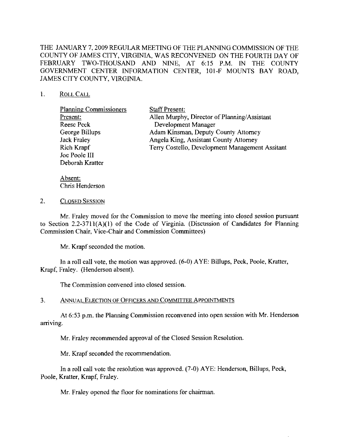THE JANUARY 7, 2009 REGULAR MEETING OF THE PLANNING COMMISSION OF THE COUNTY OF JAMES CITY, VIRGINIA, WAS RECONVENED ON THE FOURTH DAY OF FEBRUARY TWO-THOUSAND AND NINE, AT 6:15 P.M. IN THE COUNTY GOVERNMENT CENTER INFORMATION CENTER, 101-F MOUNTS BAY ROAD, JAMES CITY COUNTY, VIRGINIA.

## 1. ROLLCALL

| <b>Planning Commissioners</b> | <b>Staff Present:</b>                           |
|-------------------------------|-------------------------------------------------|
| Present:                      | Allen Murphy, Director of Planning/Assistant    |
| <b>Reese Peck</b>             | Development Manager                             |
| George Billups                | Adam Kinsman, Deputy County Attorney            |
| <b>Jack Fraley</b>            | Angela King, Assistant County Attorney          |
| Rich Krapf                    | Terry Costello, Development Management Assitant |
| Joe Poole III                 |                                                 |
| Deborah Kratter               |                                                 |

Absent: Chris Henderson

## 2. CLOSED SESSION

Mr. Fraley moved for the Commission to move the meeting into closed session pursuant to Section 2.2-3711(A)(l) of the Code of Virginia. (Discussion of Candidates for Planning Commission Chair, Vice-Chair and Commission Committees)

Mr. Krapf seconded the motion.

In a roll call vote, the motion was approved. (6-0) A YE: Billups, Peek, Poole, Kratter, Krapf. Fraley. (Henderson absent).

The Commission convened into closed session.

## 3. ANNUAL ELECTION OF OFFICERS AND COMMITTEE APPOINTMENTS

At 6:53 p.m. the Planning Commission reeonvened into open session with Mr. Henderson arriving.

Mr. Fraley recommended approval of the Closed Session Resolution.

Mr. Krapf seeonded the recommendation.

In a roll call vote the resolution was approved. (7-0) AYE: Henderson, Billups, Peck, Poole, Kratter, Krapf, Fraley.

Mr. Fraley opened the floor for nominations for chairman.